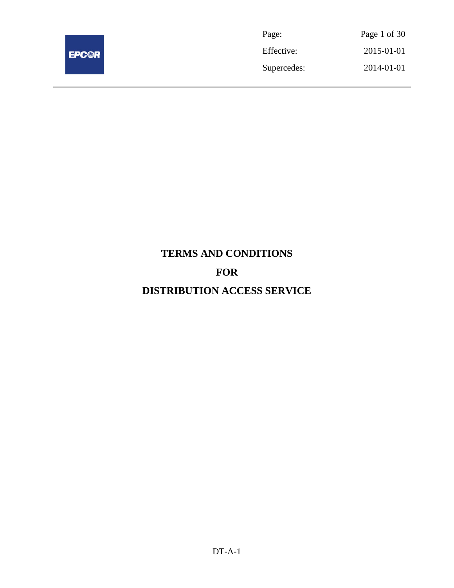

| Page:       | Page 1 of 30 |
|-------------|--------------|
| Effective:  | 2015-01-01   |
| Supercedes: | 2014-01-01   |

# **TERMS AND CONDITIONS FOR DISTRIBUTION ACCESS SERVICE**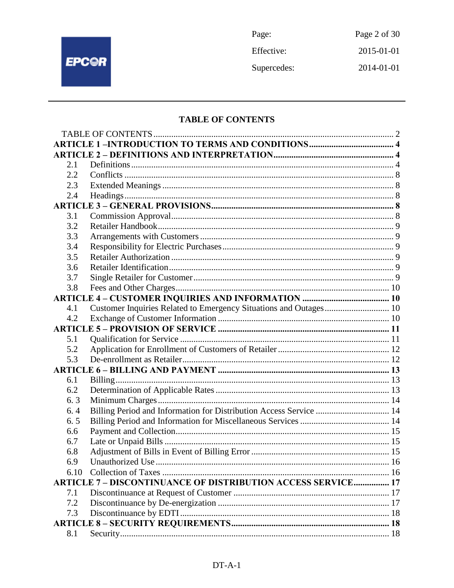

Page: Page 2 of 30 Effective: 2015-01-01 Supercedes: 2014-01-01

## **TABLE OF CONTENTS**

| 2.1  |                                                                     |  |
|------|---------------------------------------------------------------------|--|
| 2.2  |                                                                     |  |
| 2.3  |                                                                     |  |
| 2.4  |                                                                     |  |
|      |                                                                     |  |
| 3.1  |                                                                     |  |
| 3.2  |                                                                     |  |
| 3.3  |                                                                     |  |
| 3.4  |                                                                     |  |
| 3.5  |                                                                     |  |
| 3.6  |                                                                     |  |
| 3.7  |                                                                     |  |
| 3.8  |                                                                     |  |
|      |                                                                     |  |
| 4.1  | Customer Inquiries Related to Emergency Situations and Outages 10   |  |
| 4.2  |                                                                     |  |
|      |                                                                     |  |
| 5.1  |                                                                     |  |
| 5.2  |                                                                     |  |
| 5.3  |                                                                     |  |
|      |                                                                     |  |
| 6.1  |                                                                     |  |
| 6.2  |                                                                     |  |
| 6.3  |                                                                     |  |
| 6.4  | Billing Period and Information for Distribution Access Service  14  |  |
| 6.5  |                                                                     |  |
| 6.6  |                                                                     |  |
| 6.7  |                                                                     |  |
| 6.8  |                                                                     |  |
| 6.9  |                                                                     |  |
| 6.10 |                                                                     |  |
|      | <b>ARTICLE 7 - DISCONTINUANCE OF DISTRIBUTION ACCESS SERVICE 17</b> |  |
| 7.1  |                                                                     |  |
| 7.2  |                                                                     |  |
| 7.3  |                                                                     |  |
|      |                                                                     |  |
| 8.1  |                                                                     |  |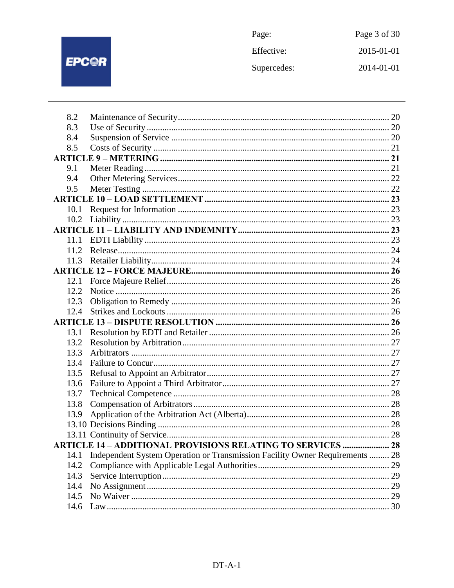

| Page:       | Page 3 of 30 |
|-------------|--------------|
| Effective:  | 2015-01-01   |
| Supercedes: | 2014-01-01   |

| 8.2  |                                                                              |  |
|------|------------------------------------------------------------------------------|--|
| 8.3  |                                                                              |  |
| 8.4  |                                                                              |  |
| 8.5  |                                                                              |  |
|      |                                                                              |  |
| 9.1  |                                                                              |  |
| 9.4  |                                                                              |  |
| 9.5  |                                                                              |  |
|      |                                                                              |  |
| 10.1 |                                                                              |  |
| 10.2 |                                                                              |  |
|      |                                                                              |  |
| 11.1 |                                                                              |  |
| 11.2 |                                                                              |  |
| 11.3 |                                                                              |  |
|      |                                                                              |  |
| 12.1 |                                                                              |  |
| 12.2 |                                                                              |  |
| 12.3 |                                                                              |  |
| 12.4 |                                                                              |  |
|      |                                                                              |  |
| 13.1 |                                                                              |  |
| 13.2 |                                                                              |  |
| 13.3 |                                                                              |  |
| 13.4 |                                                                              |  |
| 13.5 |                                                                              |  |
| 13.6 |                                                                              |  |
| 13.7 |                                                                              |  |
| 13.8 |                                                                              |  |
| 13.9 |                                                                              |  |
|      |                                                                              |  |
|      |                                                                              |  |
|      | <b>ARTICLE 14 - ADDITIONAL PROVISIONS RELATING TO SERVICES  28</b>           |  |
| 14.1 | Independent System Operation or Transmission Facility Owner Requirements  28 |  |
| 14.2 |                                                                              |  |
| 14.3 |                                                                              |  |
| 14.4 |                                                                              |  |
| 14.5 |                                                                              |  |
| 14.6 |                                                                              |  |
|      |                                                                              |  |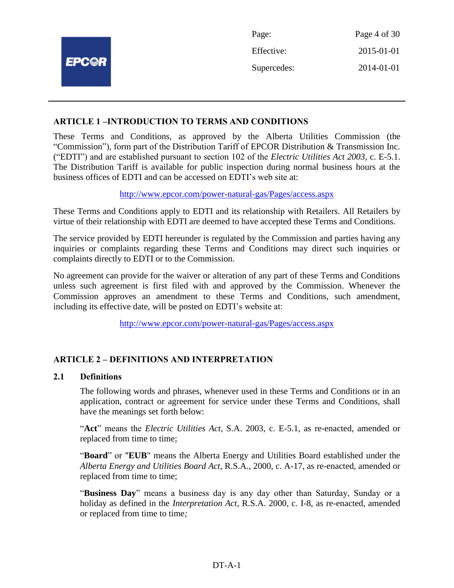|              | Page:       | Page 4 of 30 |
|--------------|-------------|--------------|
|              | Effective:  | 2015-01-01   |
| <b>EPC@R</b> | Supercedes: | 2014-01-01   |
|              |             |              |

## **ARTICLE 1 –INTRODUCTION TO TERMS AND CONDITIONS**

These Terms and Conditions, as approved by the Alberta Utilities Commission (the "Commission"), form part of the Distribution Tariff of EPCOR Distribution & Transmission Inc. ("EDTI") and are established pursuant to section 102 of the *Electric Utilities Act 2003*, c. E-5.1. The Distribution Tariff is available for public inspection during normal business hours at the business offices of EDTI and can be accessed on EDTI's web site at:

<http://www.epcor.com/power-natural-gas/Pages/access.aspx>

These Terms and Conditions apply to EDTI and its relationship with Retailers. All Retailers by virtue of their relationship with EDTI are deemed to have accepted these Terms and Conditions.

The service provided by EDTI hereunder is regulated by the Commission and parties having any inquiries or complaints regarding these Terms and Conditions may direct such inquiries or complaints directly to EDTI or to the Commission.

No agreement can provide for the waiver or alteration of any part of these Terms and Conditions unless such agreement is first filed with and approved by the Commission. Whenever the Commission approves an amendment to these Terms and Conditions, such amendment, including its effective date, will be posted on EDTI's website at:

<http://www.epcor.com/power-natural-gas/Pages/access.aspx>

## **ARTICLE 2 – DEFINITIONS AND INTERPRETATION**

#### **2.1 Definitions**

The following words and phrases, whenever used in these Terms and Conditions or in an application, contract or agreement for service under these Terms and Conditions, shall have the meanings set forth below:

"**Act**" means the *Electric Utilities Act*, S.A. 2003, c. E-5.1, as re-enacted, amended or replaced from time to time;

"**Board**" or "**EUB**" means the Alberta Energy and Utilities Board established under the *Alberta Energy and Utilities Board Act*, R.S.A., 2000, c. A-17, as re-enacted, amended or replaced from time to time;

"**Business Day**" means a business day is any day other than Saturday, Sunday or a holiday as defined in the *Interpretation Act*, R.S.A. 2000, c. I-8, as re-enacted, amended or replaced from time to time*;*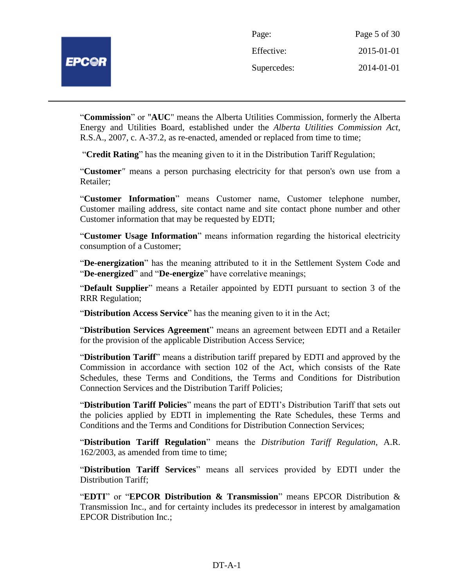"**Commission**" or "**AUC**" means the Alberta Utilities Commission, formerly the Alberta Energy and Utilities Board, established under the *Alberta Utilities Commission Act*, R.S.A., 2007, c. A-37.2, as re-enacted, amended or replaced from time to time;

"**Credit Rating**" has the meaning given to it in the Distribution Tariff Regulation;

"**Customer***"* means a person purchasing electricity for that person's own use from a Retailer;

"**Customer Information**" means Customer name, Customer telephone number, Customer mailing address, site contact name and site contact phone number and other Customer information that may be requested by EDTI;

"**Customer Usage Information**" means information regarding the historical electricity consumption of a Customer;

"**De-energization**" has the meaning attributed to it in the Settlement System Code and "**De-energized**" and "**De-energize**" have correlative meanings;

"**Default Supplier**" means a Retailer appointed by EDTI pursuant to section 3 of the RRR Regulation;

"**Distribution Access Service**" has the meaning given to it in the Act;

"**Distribution Services Agreement**" means an agreement between EDTI and a Retailer for the provision of the applicable Distribution Access Service;

"**Distribution Tariff**" means a distribution tariff prepared by EDTI and approved by the Commission in accordance with section 102 of the Act, which consists of the Rate Schedules, these Terms and Conditions, the Terms and Conditions for Distribution Connection Services and the Distribution Tariff Policies;

"**Distribution Tariff Policies**" means the part of EDTI's Distribution Tariff that sets out the policies applied by EDTI in implementing the Rate Schedules, these Terms and Conditions and the Terms and Conditions for Distribution Connection Services;

"**Distribution Tariff Regulation**" means the *Distribution Tariff Regulation*, A.R. 162/2003, as amended from time to time;

"**Distribution Tariff Services**" means all services provided by EDTI under the Distribution Tariff;

"**EDTI**" or "**EPCOR Distribution & Transmission**" means EPCOR Distribution & Transmission Inc., and for certainty includes its predecessor in interest by amalgamation EPCOR Distribution Inc.;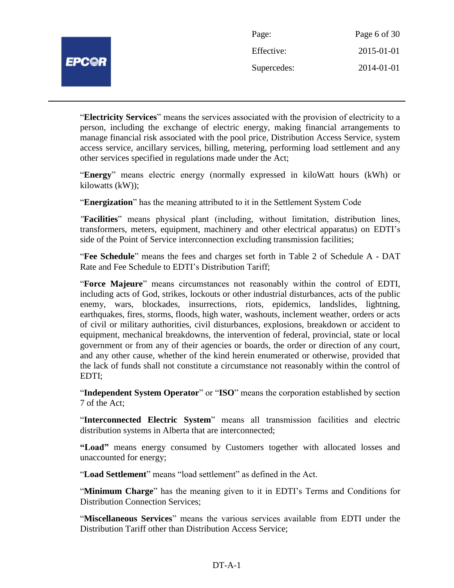| Page:       | Page 6 of 30 |
|-------------|--------------|
| Effective:  | 2015-01-01   |
| Supercedes: | 2014-01-01   |

"**Electricity Services**" means the services associated with the provision of electricity to a person, including the exchange of electric energy, making financial arrangements to manage financial risk associated with the pool price, Distribution Access Service, system access service, ancillary services, billing, metering, performing load settlement and any other services specified in regulations made under the Act;

"**Energy**" means electric energy (normally expressed in kiloWatt hours (kWh) or kilowatts (kW));

"**Energization**" has the meaning attributed to it in the Settlement System Code

*"***Facilities**" means physical plant (including, without limitation, distribution lines, transformers, meters, equipment, machinery and other electrical apparatus) on EDTI's side of the Point of Service interconnection excluding transmission facilities;

"**Fee Schedule**" means the fees and charges set forth in Table 2 of Schedule A - DAT Rate and Fee Schedule to EDTI's Distribution Tariff;

"**Force Majeure**" means circumstances not reasonably within the control of EDTI, including acts of God, strikes, lockouts or other industrial disturbances, acts of the public enemy, wars, blockades, insurrections, riots, epidemics, landslides, lightning, earthquakes, fires, storms, floods, high water, washouts, inclement weather, orders or acts of civil or military authorities, civil disturbances, explosions, breakdown or accident to equipment, mechanical breakdowns, the intervention of federal, provincial, state or local government or from any of their agencies or boards, the order or direction of any court, and any other cause, whether of the kind herein enumerated or otherwise, provided that the lack of funds shall not constitute a circumstance not reasonably within the control of EDTI;

"**Independent System Operator**" or "**ISO**" means the corporation established by section 7 of the Act;

"**Interconnected Electric System**" means all transmission facilities and electric distribution systems in Alberta that are interconnected;

**"Load"** means energy consumed by Customers together with allocated losses and unaccounted for energy;

"**Load Settlement**" means "load settlement" as defined in the Act.

"**Minimum Charge**" has the meaning given to it in EDTI's Terms and Conditions for Distribution Connection Services;

"**Miscellaneous Services**" means the various services available from EDTI under the Distribution Tariff other than Distribution Access Service;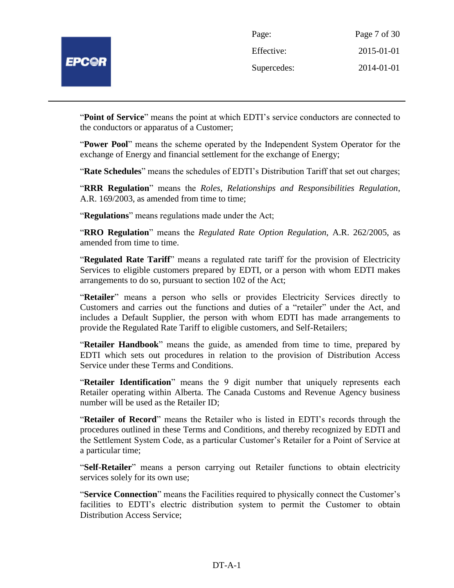

| Page:       | Page 7 of 30 |
|-------------|--------------|
| Effective:  | 2015-01-01   |
| Supercedes: | 2014-01-01   |

"**Point of Service**" means the point at which EDTI's service conductors are connected to the conductors or apparatus of a Customer;

"**Power Pool**" means the scheme operated by the Independent System Operator for the exchange of Energy and financial settlement for the exchange of Energy;

"**Rate Schedules**" means the schedules of EDTI's Distribution Tariff that set out charges;

"**RRR Regulation**" means the *Roles, Relationships and Responsibilities Regulation*, A.R. 169/2003, as amended from time to time;

"**Regulations**" means regulations made under the Act;

"**RRO Regulation**" means the *Regulated Rate Option Regulation*, A.R. 262/2005, as amended from time to time.

"**Regulated Rate Tariff**" means a regulated rate tariff for the provision of Electricity Services to eligible customers prepared by EDTI, or a person with whom EDTI makes arrangements to do so, pursuant to section 102 of the Act;

"**Retailer**" means a person who sells or provides Electricity Services directly to Customers and carries out the functions and duties of a "retailer" under the Act, and includes a Default Supplier, the person with whom EDTI has made arrangements to provide the Regulated Rate Tariff to eligible customers, and Self-Retailers;

"**Retailer Handbook**" means the guide, as amended from time to time, prepared by EDTI which sets out procedures in relation to the provision of Distribution Access Service under these Terms and Conditions.

"**Retailer Identification**" means the 9 digit number that uniquely represents each Retailer operating within Alberta. The Canada Customs and Revenue Agency business number will be used as the Retailer ID;

"**Retailer of Record**" means the Retailer who is listed in EDTI's records through the procedures outlined in these Terms and Conditions, and thereby recognized by EDTI and the Settlement System Code, as a particular Customer's Retailer for a Point of Service at a particular time;

"**Self-Retailer**" means a person carrying out Retailer functions to obtain electricity services solely for its own use;

"**Service Connection**" means the Facilities required to physically connect the Customer's facilities to EDTI's electric distribution system to permit the Customer to obtain Distribution Access Service;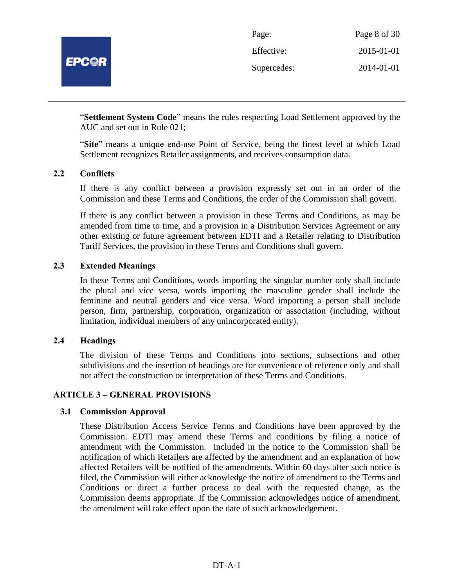

| Page:       | Page 8 of 30 |
|-------------|--------------|
| Effective:  | 2015-01-01   |
| Supercedes: | 2014-01-01   |

"**Settlement System Code**" means the rules respecting Load Settlement approved by the AUC and set out in Rule 021;

"**Site**" means a unique end-use Point of Service, being the finest level at which Load Settlement recognizes Retailer assignments, and receives consumption data.

## **2.2 Conflicts**

If there is any conflict between a provision expressly set out in an order of the Commission and these Terms and Conditions, the order of the Commission shall govern.

If there is any conflict between a provision in these Terms and Conditions, as may be amended from time to time, and a provision in a Distribution Services Agreement or any other existing or future agreement between EDTI and a Retailer relating to Distribution Tariff Services, the provision in these Terms and Conditions shall govern.

## **2.3 Extended Meanings**

In these Terms and Conditions, words importing the singular number only shall include the plural and vice versa, words importing the masculine gender shall include the feminine and neutral genders and vice versa. Word importing a person shall include person, firm, partnership, corporation, organization or association (including, without limitation, individual members of any unincorporated entity).

#### **2.4 Headings**

The division of these Terms and Conditions into sections, subsections and other subdivisions and the insertion of headings are for convenience of reference only and shall not affect the construction or interpretation of these Terms and Conditions.

#### **ARTICLE 3 – GENERAL PROVISIONS**

#### **3.1 Commission Approval**

These Distribution Access Service Terms and Conditions have been approved by the Commission. EDTI may amend these Terms and conditions by filing a notice of amendment with the Commission. Included in the notice to the Commission shall be notification of which Retailers are affected by the amendment and an explanation of how affected Retailers will be notified of the amendments. Within 60 days after such notice is filed, the Commission will either acknowledge the notice of amendment to the Terms and Conditions or direct a further process to deal with the requested change, as the Commission deems appropriate. If the Commission acknowledges notice of amendment, the amendment will take effect upon the date of such acknowledgement.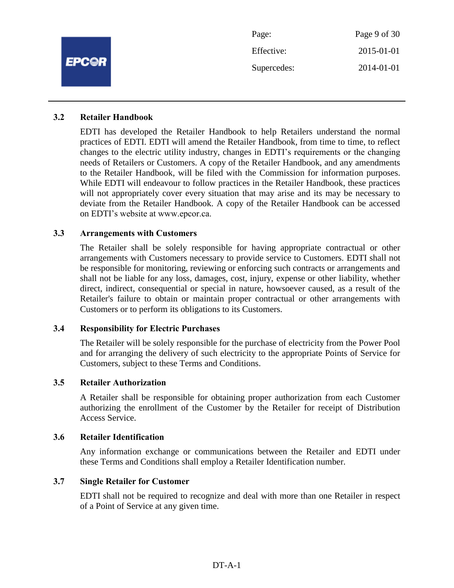|              | Page:       | Page 9 of 30 |
|--------------|-------------|--------------|
|              | Effective:  | 2015-01-01   |
| <b>EPC@R</b> | Supercedes: | 2014-01-01   |
|              |             |              |

### **3.2 Retailer Handbook**

EDTI has developed the Retailer Handbook to help Retailers understand the normal practices of EDTI. EDTI will amend the Retailer Handbook, from time to time, to reflect changes to the electric utility industry, changes in EDTI's requirements or the changing needs of Retailers or Customers. A copy of the Retailer Handbook, and any amendments to the Retailer Handbook, will be filed with the Commission for information purposes. While EDTI will endeavour to follow practices in the Retailer Handbook, these practices will not appropriately cover every situation that may arise and its may be necessary to deviate from the Retailer Handbook. A copy of the Retailer Handbook can be accessed on EDTI's website at www.epcor.ca.

## **3.3 Arrangements with Customers**

The Retailer shall be solely responsible for having appropriate contractual or other arrangements with Customers necessary to provide service to Customers. EDTI shall not be responsible for monitoring, reviewing or enforcing such contracts or arrangements and shall not be liable for any loss, damages, cost, injury, expense or other liability, whether direct, indirect, consequential or special in nature, howsoever caused, as a result of the Retailer's failure to obtain or maintain proper contractual or other arrangements with Customers or to perform its obligations to its Customers.

## **3.4 Responsibility for Electric Purchases**

The Retailer will be solely responsible for the purchase of electricity from the Power Pool and for arranging the delivery of such electricity to the appropriate Points of Service for Customers, subject to these Terms and Conditions.

#### **3.5 Retailer Authorization**

A Retailer shall be responsible for obtaining proper authorization from each Customer authorizing the enrollment of the Customer by the Retailer for receipt of Distribution Access Service.

#### **3.6 Retailer Identification**

Any information exchange or communications between the Retailer and EDTI under these Terms and Conditions shall employ a Retailer Identification number.

#### **3.7 Single Retailer for Customer**

EDTI shall not be required to recognize and deal with more than one Retailer in respect of a Point of Service at any given time.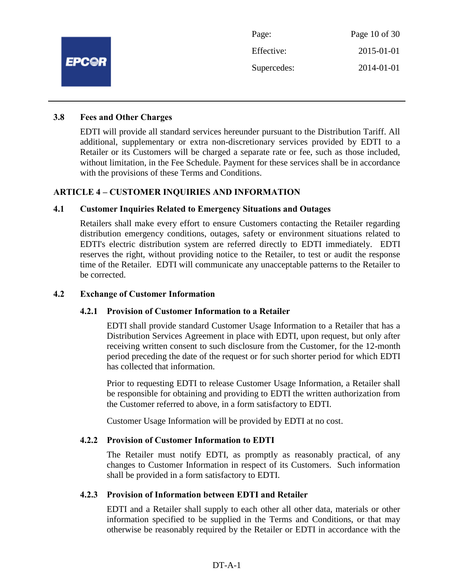

#### **3.8 Fees and Other Charges**

EDTI will provide all standard services hereunder pursuant to the Distribution Tariff. All additional, supplementary or extra non-discretionary services provided by EDTI to a Retailer or its Customers will be charged a separate rate or fee, such as those included, without limitation, in the Fee Schedule. Payment for these services shall be in accordance with the provisions of these Terms and Conditions.

## **ARTICLE 4 – CUSTOMER INQUIRIES AND INFORMATION**

## **4.1 Customer Inquiries Related to Emergency Situations and Outages**

Retailers shall make every effort to ensure Customers contacting the Retailer regarding distribution emergency conditions, outages, safety or environment situations related to EDTI's electric distribution system are referred directly to EDTI immediately. EDTI reserves the right, without providing notice to the Retailer, to test or audit the response time of the Retailer. EDTI will communicate any unacceptable patterns to the Retailer to be corrected.

#### **4.2 Exchange of Customer Information**

#### **4.2.1 Provision of Customer Information to a Retailer**

EDTI shall provide standard Customer Usage Information to a Retailer that has a Distribution Services Agreement in place with EDTI, upon request, but only after receiving written consent to such disclosure from the Customer, for the 12-month period preceding the date of the request or for such shorter period for which EDTI has collected that information.

Prior to requesting EDTI to release Customer Usage Information, a Retailer shall be responsible for obtaining and providing to EDTI the written authorization from the Customer referred to above, in a form satisfactory to EDTI.

Customer Usage Information will be provided by EDTI at no cost.

#### **4.2.2 Provision of Customer Information to EDTI**

The Retailer must notify EDTI, as promptly as reasonably practical, of any changes to Customer Information in respect of its Customers. Such information shall be provided in a form satisfactory to EDTI.

#### **4.2.3 Provision of Information between EDTI and Retailer**

EDTI and a Retailer shall supply to each other all other data, materials or other information specified to be supplied in the Terms and Conditions, or that may otherwise be reasonably required by the Retailer or EDTI in accordance with the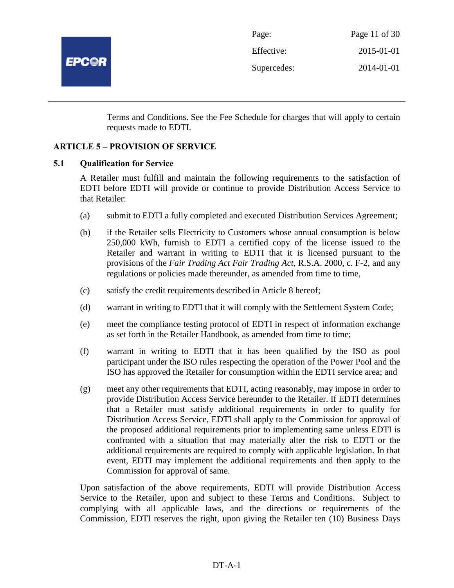

| Page:       | Page 11 of 30 |
|-------------|---------------|
| Effective:  | 2015-01-01    |
| Supercedes: | 2014-01-01    |

Terms and Conditions. See the Fee Schedule for charges that will apply to certain requests made to EDTI.

## **ARTICLE 5 – PROVISION OF SERVICE**

#### **5.1 Qualification for Service**

A Retailer must fulfill and maintain the following requirements to the satisfaction of EDTI before EDTI will provide or continue to provide Distribution Access Service to that Retailer:

- (a) submit to EDTI a fully completed and executed Distribution Services Agreement;
- (b) if the Retailer sells Electricity to Customers whose annual consumption is below 250,000 kWh, furnish to EDTI a certified copy of the license issued to the Retailer and warrant in writing to EDTI that it is licensed pursuant to the provisions of the *Fair Trading Act Fair Trading Act*, R.S.A. 2000, c. F-2, and any regulations or policies made thereunder, as amended from time to time,
- (c) satisfy the credit requirements described in Article 8 hereof;
- (d) warrant in writing to EDTI that it will comply with the Settlement System Code;
- (e) meet the compliance testing protocol of EDTI in respect of information exchange as set forth in the Retailer Handbook, as amended from time to time;
- (f) warrant in writing to EDTI that it has been qualified by the ISO as pool participant under the ISO rules respecting the operation of the Power Pool and the ISO has approved the Retailer for consumption within the EDTI service area; and
- (g) meet any other requirements that EDTI, acting reasonably, may impose in order to provide Distribution Access Service hereunder to the Retailer. If EDTI determines that a Retailer must satisfy additional requirements in order to qualify for Distribution Access Service, EDTI shall apply to the Commission for approval of the proposed additional requirements prior to implementing same unless EDTI is confronted with a situation that may materially alter the risk to EDTI or the additional requirements are required to comply with applicable legislation. In that event, EDTI may implement the additional requirements and then apply to the Commission for approval of same.

Upon satisfaction of the above requirements, EDTI will provide Distribution Access Service to the Retailer, upon and subject to these Terms and Conditions. Subject to complying with all applicable laws, and the directions or requirements of the Commission, EDTI reserves the right, upon giving the Retailer ten (10) Business Days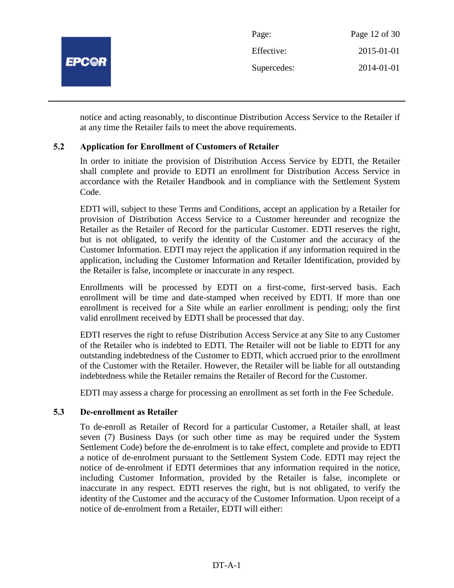

notice and acting reasonably, to discontinue Distribution Access Service to the Retailer if at any time the Retailer fails to meet the above requirements.

## **5.2 Application for Enrollment of Customers of Retailer**

In order to initiate the provision of Distribution Access Service by EDTI, the Retailer shall complete and provide to EDTI an enrollment for Distribution Access Service in accordance with the Retailer Handbook and in compliance with the Settlement System Code.

EDTI will, subject to these Terms and Conditions, accept an application by a Retailer for provision of Distribution Access Service to a Customer hereunder and recognize the Retailer as the Retailer of Record for the particular Customer. EDTI reserves the right, but is not obligated, to verify the identity of the Customer and the accuracy of the Customer Information. EDTI may reject the application if any information required in the application, including the Customer Information and Retailer Identification, provided by the Retailer is false, incomplete or inaccurate in any respect.

Enrollments will be processed by EDTI on a first-come, first-served basis. Each enrollment will be time and date-stamped when received by EDTI. If more than one enrollment is received for a Site while an earlier enrollment is pending; only the first valid enrollment received by EDTI shall be processed that day.

EDTI reserves the right to refuse Distribution Access Service at any Site to any Customer of the Retailer who is indebted to EDTI. The Retailer will not be liable to EDTI for any outstanding indebtedness of the Customer to EDTI, which accrued prior to the enrollment of the Customer with the Retailer. However, the Retailer will be liable for all outstanding indebtedness while the Retailer remains the Retailer of Record for the Customer.

EDTI may assess a charge for processing an enrollment as set forth in the Fee Schedule.

#### **5.3 De-enrollment as Retailer**

To de-enroll as Retailer of Record for a particular Customer, a Retailer shall, at least seven (7) Business Days (or such other time as may be required under the System Settlement Code) before the de-enrolment is to take effect, complete and provide to EDTI a notice of de-enrolment pursuant to the Settlement System Code. EDTI may reject the notice of de-enrolment if EDTI determines that any information required in the notice, including Customer Information, provided by the Retailer is false, incomplete or inaccurate in any respect. EDTI reserves the right, but is not obligated, to verify the identity of the Customer and the accuracy of the Customer Information. Upon receipt of a notice of de-enrolment from a Retailer, EDTI will either: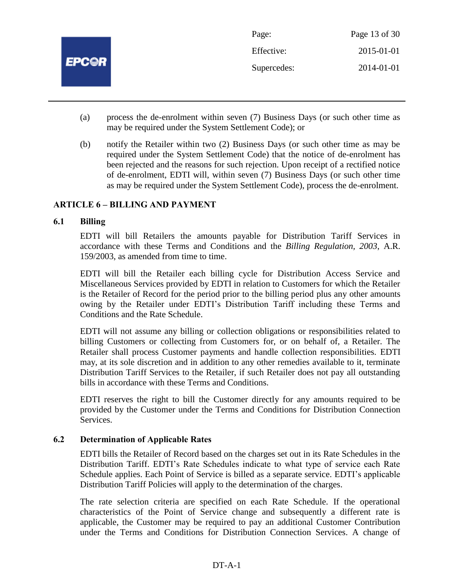

- (a) process the de-enrolment within seven (7) Business Days (or such other time as may be required under the System Settlement Code); or
- (b) notify the Retailer within two (2) Business Days (or such other time as may be required under the System Settlement Code) that the notice of de-enrolment has been rejected and the reasons for such rejection. Upon receipt of a rectified notice of de-enrolment, EDTI will, within seven (7) Business Days (or such other time as may be required under the System Settlement Code), process the de-enrolment.

## **ARTICLE 6 – BILLING AND PAYMENT**

#### **6.1 Billing**

EDTI will bill Retailers the amounts payable for Distribution Tariff Services in accordance with these Terms and Conditions and the *Billing Regulation, 2003*, A.R. 159/2003, as amended from time to time.

EDTI will bill the Retailer each billing cycle for Distribution Access Service and Miscellaneous Services provided by EDTI in relation to Customers for which the Retailer is the Retailer of Record for the period prior to the billing period plus any other amounts owing by the Retailer under EDTI's Distribution Tariff including these Terms and Conditions and the Rate Schedule.

EDTI will not assume any billing or collection obligations or responsibilities related to billing Customers or collecting from Customers for, or on behalf of, a Retailer. The Retailer shall process Customer payments and handle collection responsibilities. EDTI may, at its sole discretion and in addition to any other remedies available to it, terminate Distribution Tariff Services to the Retailer, if such Retailer does not pay all outstanding bills in accordance with these Terms and Conditions.

EDTI reserves the right to bill the Customer directly for any amounts required to be provided by the Customer under the Terms and Conditions for Distribution Connection Services.

#### **6.2 Determination of Applicable Rates**

EDTI bills the Retailer of Record based on the charges set out in its Rate Schedules in the Distribution Tariff. EDTI's Rate Schedules indicate to what type of service each Rate Schedule applies. Each Point of Service is billed as a separate service. EDTI's applicable Distribution Tariff Policies will apply to the determination of the charges.

The rate selection criteria are specified on each Rate Schedule. If the operational characteristics of the Point of Service change and subsequently a different rate is applicable, the Customer may be required to pay an additional Customer Contribution under the Terms and Conditions for Distribution Connection Services. A change of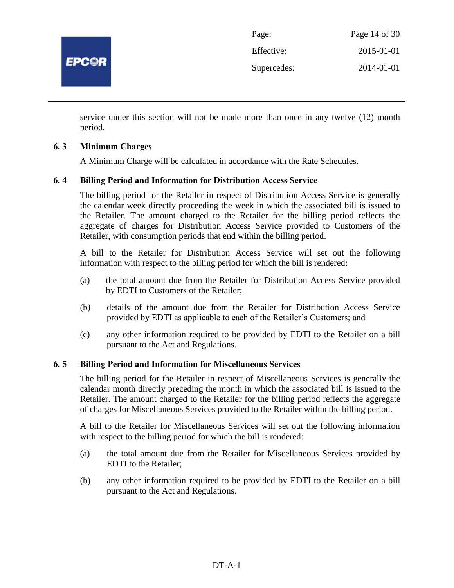

| Page:       | Page 14 of 30 |
|-------------|---------------|
| Effective:  | 2015-01-01    |
| Supercedes: | 2014-01-01    |

service under this section will not be made more than once in any twelve (12) month period.

## **6. 3 Minimum Charges**

A Minimum Charge will be calculated in accordance with the Rate Schedules.

## **6. 4 Billing Period and Information for Distribution Access Service**

The billing period for the Retailer in respect of Distribution Access Service is generally the calendar week directly proceeding the week in which the associated bill is issued to the Retailer. The amount charged to the Retailer for the billing period reflects the aggregate of charges for Distribution Access Service provided to Customers of the Retailer, with consumption periods that end within the billing period.

A bill to the Retailer for Distribution Access Service will set out the following information with respect to the billing period for which the bill is rendered:

- (a) the total amount due from the Retailer for Distribution Access Service provided by EDTI to Customers of the Retailer;
- (b) details of the amount due from the Retailer for Distribution Access Service provided by EDTI as applicable to each of the Retailer's Customers; and
- (c) any other information required to be provided by EDTI to the Retailer on a bill pursuant to the Act and Regulations.

#### **6. 5 Billing Period and Information for Miscellaneous Services**

The billing period for the Retailer in respect of Miscellaneous Services is generally the calendar month directly preceding the month in which the associated bill is issued to the Retailer. The amount charged to the Retailer for the billing period reflects the aggregate of charges for Miscellaneous Services provided to the Retailer within the billing period.

A bill to the Retailer for Miscellaneous Services will set out the following information with respect to the billing period for which the bill is rendered:

- (a) the total amount due from the Retailer for Miscellaneous Services provided by EDTI to the Retailer;
- (b) any other information required to be provided by EDTI to the Retailer on a bill pursuant to the Act and Regulations.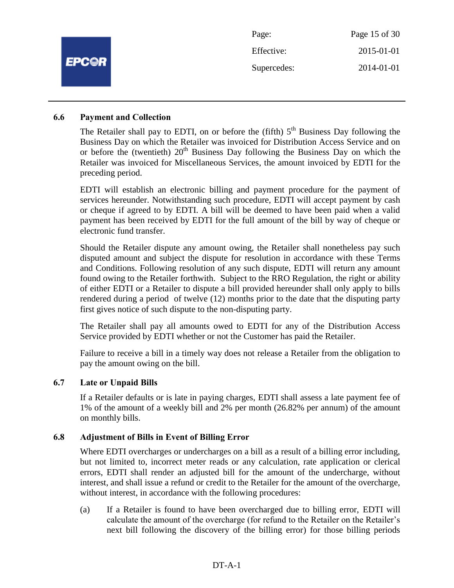|              | Page:       | Page 15 of 30 |
|--------------|-------------|---------------|
|              | Effective:  | 2015-01-01    |
| <b>EPC@R</b> | Supercedes: | 2014-01-01    |
|              |             |               |

#### **6.6 Payment and Collection**

The Retailer shall pay to EDTI, on or before the (fifth)  $5<sup>th</sup>$  Business Day following the Business Day on which the Retailer was invoiced for Distribution Access Service and on or before the (twentieth)  $20<sup>th</sup>$  Business Day following the Business Day on which the Retailer was invoiced for Miscellaneous Services, the amount invoiced by EDTI for the preceding period.

EDTI will establish an electronic billing and payment procedure for the payment of services hereunder. Notwithstanding such procedure, EDTI will accept payment by cash or cheque if agreed to by EDTI. A bill will be deemed to have been paid when a valid payment has been received by EDTI for the full amount of the bill by way of cheque or electronic fund transfer.

Should the Retailer dispute any amount owing, the Retailer shall nonetheless pay such disputed amount and subject the dispute for resolution in accordance with these Terms and Conditions. Following resolution of any such dispute, EDTI will return any amount found owing to the Retailer forthwith. Subject to the RRO Regulation, the right or ability of either EDTI or a Retailer to dispute a bill provided hereunder shall only apply to bills rendered during a period of twelve (12) months prior to the date that the disputing party first gives notice of such dispute to the non-disputing party.

The Retailer shall pay all amounts owed to EDTI for any of the Distribution Access Service provided by EDTI whether or not the Customer has paid the Retailer.

Failure to receive a bill in a timely way does not release a Retailer from the obligation to pay the amount owing on the bill.

#### **6.7 Late or Unpaid Bills**

If a Retailer defaults or is late in paying charges, EDTI shall assess a late payment fee of 1% of the amount of a weekly bill and 2% per month (26.82% per annum) of the amount on monthly bills.

#### **6.8 Adjustment of Bills in Event of Billing Error**

Where EDTI overcharges or undercharges on a bill as a result of a billing error including, but not limited to, incorrect meter reads or any calculation, rate application or clerical errors, EDTI shall render an adjusted bill for the amount of the undercharge, without interest, and shall issue a refund or credit to the Retailer for the amount of the overcharge, without interest, in accordance with the following procedures:

(a) If a Retailer is found to have been overcharged due to billing error, EDTI will calculate the amount of the overcharge (for refund to the Retailer on the Retailer's next bill following the discovery of the billing error) for those billing periods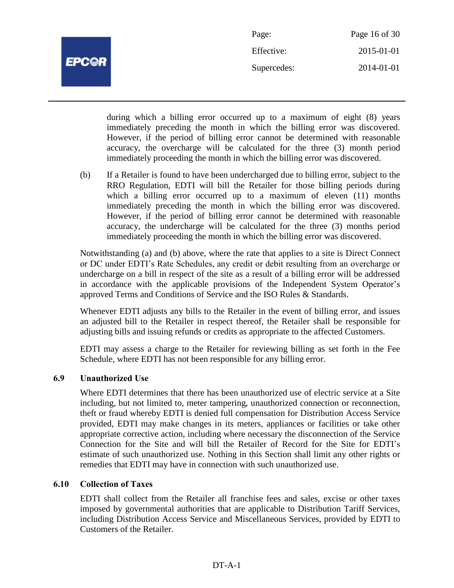

| Page:       | Page 16 of 30 |
|-------------|---------------|
| Effective:  | 2015-01-01    |
| Supercedes: | 2014-01-01    |

during which a billing error occurred up to a maximum of eight (8) years immediately preceding the month in which the billing error was discovered. However, if the period of billing error cannot be determined with reasonable accuracy, the overcharge will be calculated for the three (3) month period immediately proceeding the month in which the billing error was discovered.

(b) If a Retailer is found to have been undercharged due to billing error, subject to the RRO Regulation, EDTI will bill the Retailer for those billing periods during which a billing error occurred up to a maximum of eleven (11) months immediately preceding the month in which the billing error was discovered. However, if the period of billing error cannot be determined with reasonable accuracy, the undercharge will be calculated for the three (3) months period immediately proceeding the month in which the billing error was discovered.

Notwithstanding (a) and (b) above, where the rate that applies to a site is Direct Connect or DC under EDTI's Rate Schedules, any credit or debit resulting from an overcharge or undercharge on a bill in respect of the site as a result of a billing error will be addressed in accordance with the applicable provisions of the Independent System Operator's approved Terms and Conditions of Service and the ISO Rules & Standards.

Whenever EDTI adjusts any bills to the Retailer in the event of billing error, and issues an adjusted bill to the Retailer in respect thereof, the Retailer shall be responsible for adjusting bills and issuing refunds or credits as appropriate to the affected Customers.

EDTI may assess a charge to the Retailer for reviewing billing as set forth in the Fee Schedule, where EDTI has not been responsible for any billing error.

## **6.9 Unauthorized Use**

Where EDTI determines that there has been unauthorized use of electric service at a Site including, but not limited to, meter tampering, unauthorized connection or reconnection, theft or fraud whereby EDTI is denied full compensation for Distribution Access Service provided, EDTI may make changes in its meters, appliances or facilities or take other appropriate corrective action, including where necessary the disconnection of the Service Connection for the Site and will bill the Retailer of Record for the Site for EDTI's estimate of such unauthorized use. Nothing in this Section shall limit any other rights or remedies that EDTI may have in connection with such unauthorized use.

## **6.10 Collection of Taxes**

EDTI shall collect from the Retailer all franchise fees and sales, excise or other taxes imposed by governmental authorities that are applicable to Distribution Tariff Services, including Distribution Access Service and Miscellaneous Services, provided by EDTI to Customers of the Retailer.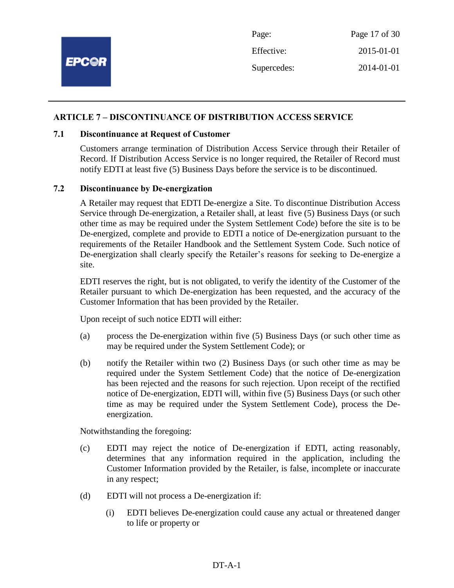

#### **ARTICLE 7 – DISCONTINUANCE OF DISTRIBUTION ACCESS SERVICE**

#### **7.1 Discontinuance at Request of Customer**

Customers arrange termination of Distribution Access Service through their Retailer of Record. If Distribution Access Service is no longer required, the Retailer of Record must notify EDTI at least five (5) Business Days before the service is to be discontinued.

## **7.2 Discontinuance by De-energization**

A Retailer may request that EDTI De-energize a Site. To discontinue Distribution Access Service through De-energization, a Retailer shall, at least five (5) Business Days (or such other time as may be required under the System Settlement Code) before the site is to be De-energized, complete and provide to EDTI a notice of De-energization pursuant to the requirements of the Retailer Handbook and the Settlement System Code. Such notice of De-energization shall clearly specify the Retailer's reasons for seeking to De-energize a site.

EDTI reserves the right, but is not obligated, to verify the identity of the Customer of the Retailer pursuant to which De-energization has been requested, and the accuracy of the Customer Information that has been provided by the Retailer.

Upon receipt of such notice EDTI will either:

- (a) process the De-energization within five (5) Business Days (or such other time as may be required under the System Settlement Code); or
- (b) notify the Retailer within two (2) Business Days (or such other time as may be required under the System Settlement Code) that the notice of De-energization has been rejected and the reasons for such rejection. Upon receipt of the rectified notice of De-energization, EDTI will, within five (5) Business Days (or such other time as may be required under the System Settlement Code), process the Deenergization.

Notwithstanding the foregoing:

- (c) EDTI may reject the notice of De-energization if EDTI, acting reasonably, determines that any information required in the application, including the Customer Information provided by the Retailer, is false, incomplete or inaccurate in any respect;
- (d) EDTI will not process a De-energization if:
	- (i) EDTI believes De-energization could cause any actual or threatened danger to life or property or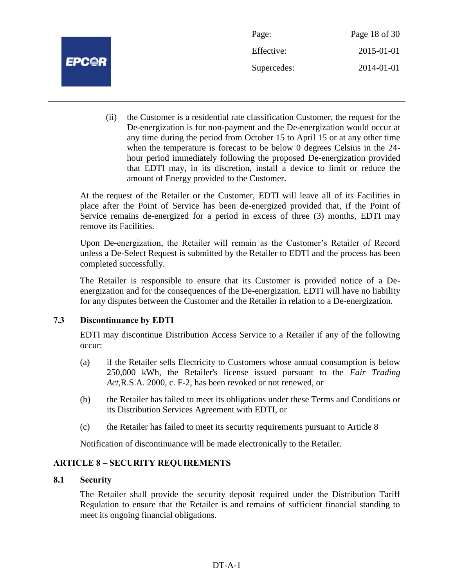

Page: Page 18 of 30 Effective: 2015-01-01 Supercedes: 2014-01-01

(ii) the Customer is a residential rate classification Customer, the request for the De-energization is for non-payment and the De-energization would occur at any time during the period from October 15 to April 15 or at any other time when the temperature is forecast to be below 0 degrees Celsius in the 24 hour period immediately following the proposed De-energization provided that EDTI may, in its discretion, install a device to limit or reduce the amount of Energy provided to the Customer.

At the request of the Retailer or the Customer, EDTI will leave all of its Facilities in place after the Point of Service has been de-energized provided that, if the Point of Service remains de-energized for a period in excess of three (3) months, EDTI may remove its Facilities.

Upon De-energization, the Retailer will remain as the Customer's Retailer of Record unless a De-Select Request is submitted by the Retailer to EDTI and the process has been completed successfully.

The Retailer is responsible to ensure that its Customer is provided notice of a Deenergization and for the consequences of the De-energization. EDTI will have no liability for any disputes between the Customer and the Retailer in relation to a De-energization.

## **7.3 Discontinuance by EDTI**

EDTI may discontinue Distribution Access Service to a Retailer if any of the following occur:

- (a) if the Retailer sells Electricity to Customers whose annual consumption is below 250,000 kWh, the Retailer's license issued pursuant to the *Fair Trading Act,*R.S.A. 2000, c. F-2, has been revoked or not renewed, or
- (b) the Retailer has failed to meet its obligations under these Terms and Conditions or its Distribution Services Agreement with EDTI, or
- (c) the Retailer has failed to meet its security requirements pursuant to Article 8

Notification of discontinuance will be made electronically to the Retailer.

## **ARTICLE 8 – SECURITY REQUIREMENTS**

## **8.1 Security**

The Retailer shall provide the security deposit required under the Distribution Tariff Regulation to ensure that the Retailer is and remains of sufficient financial standing to meet its ongoing financial obligations.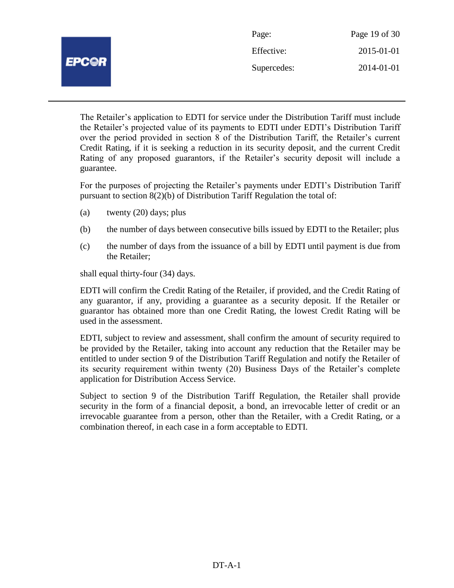|              | Page:       | Page 19 of 30 |
|--------------|-------------|---------------|
| <b>EPC@R</b> | Effective:  | 2015-01-01    |
|              | Supercedes: | 2014-01-01    |
|              |             |               |

The Retailer's application to EDTI for service under the Distribution Tariff must include the Retailer's projected value of its payments to EDTI under EDTI's Distribution Tariff over the period provided in section 8 of the Distribution Tariff, the Retailer's current Credit Rating, if it is seeking a reduction in its security deposit, and the current Credit Rating of any proposed guarantors, if the Retailer's security deposit will include a guarantee.

For the purposes of projecting the Retailer's payments under EDTI's Distribution Tariff pursuant to section 8(2)(b) of Distribution Tariff Regulation the total of:

- (a) twenty (20) days; plus
- (b) the number of days between consecutive bills issued by EDTI to the Retailer; plus
- (c) the number of days from the issuance of a bill by EDTI until payment is due from the Retailer;

shall equal thirty-four (34) days.

EDTI will confirm the Credit Rating of the Retailer, if provided, and the Credit Rating of any guarantor, if any, providing a guarantee as a security deposit. If the Retailer or guarantor has obtained more than one Credit Rating, the lowest Credit Rating will be used in the assessment.

EDTI, subject to review and assessment, shall confirm the amount of security required to be provided by the Retailer, taking into account any reduction that the Retailer may be entitled to under section 9 of the Distribution Tariff Regulation and notify the Retailer of its security requirement within twenty (20) Business Days of the Retailer's complete application for Distribution Access Service.

Subject to section 9 of the Distribution Tariff Regulation, the Retailer shall provide security in the form of a financial deposit, a bond, an irrevocable letter of credit or an irrevocable guarantee from a person, other than the Retailer, with a Credit Rating, or a combination thereof, in each case in a form acceptable to EDTI.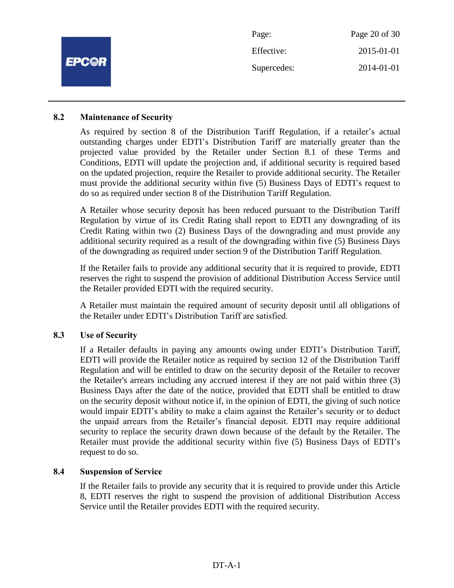|              | Page:       | Page 20 of 30 |
|--------------|-------------|---------------|
| <b>EPC@R</b> | Effective:  | 2015-01-01    |
|              | Supercedes: | 2014-01-01    |
|              |             |               |

#### **8.2 Maintenance of Security**

As required by section 8 of the Distribution Tariff Regulation, if a retailer's actual outstanding charges under EDTI's Distribution Tariff are materially greater than the projected value provided by the Retailer under Section 8.1 of these Terms and Conditions, EDTI will update the projection and, if additional security is required based on the updated projection, require the Retailer to provide additional security. The Retailer must provide the additional security within five (5) Business Days of EDTI's request to do so as required under section 8 of the Distribution Tariff Regulation.

A Retailer whose security deposit has been reduced pursuant to the Distribution Tariff Regulation by virtue of its Credit Rating shall report to EDTI any downgrading of its Credit Rating within two (2) Business Days of the downgrading and must provide any additional security required as a result of the downgrading within five (5) Business Days of the downgrading as required under section 9 of the Distribution Tariff Regulation.

If the Retailer fails to provide any additional security that it is required to provide, EDTI reserves the right to suspend the provision of additional Distribution Access Service until the Retailer provided EDTI with the required security.

A Retailer must maintain the required amount of security deposit until all obligations of the Retailer under EDTI's Distribution Tariff are satisfied.

#### **8.3 Use of Security**

If a Retailer defaults in paying any amounts owing under EDTI's Distribution Tariff, EDTI will provide the Retailer notice as required by section 12 of the Distribution Tariff Regulation and will be entitled to draw on the security deposit of the Retailer to recover the Retailer's arrears including any accrued interest if they are not paid within three (3) Business Days after the date of the notice, provided that EDTI shall be entitled to draw on the security deposit without notice if, in the opinion of EDTI, the giving of such notice would impair EDTI's ability to make a claim against the Retailer's security or to deduct the unpaid arrears from the Retailer's financial deposit. EDTI may require additional security to replace the security drawn down because of the default by the Retailer. The Retailer must provide the additional security within five (5) Business Days of EDTI's request to do so.

#### **8.4 Suspension of Service**

If the Retailer fails to provide any security that it is required to provide under this Article 8, EDTI reserves the right to suspend the provision of additional Distribution Access Service until the Retailer provides EDTI with the required security.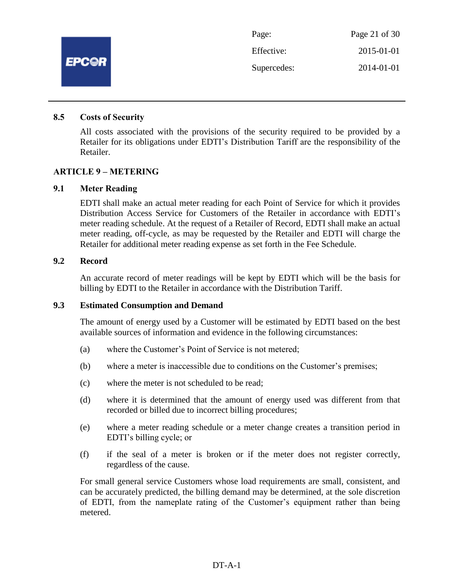

#### **8.5 Costs of Security**

All costs associated with the provisions of the security required to be provided by a Retailer for its obligations under EDTI's Distribution Tariff are the responsibility of the Retailer.

#### **ARTICLE 9 – METERING**

#### **9.1 Meter Reading**

EDTI shall make an actual meter reading for each Point of Service for which it provides Distribution Access Service for Customers of the Retailer in accordance with EDTI's meter reading schedule. At the request of a Retailer of Record, EDTI shall make an actual meter reading, off-cycle, as may be requested by the Retailer and EDTI will charge the Retailer for additional meter reading expense as set forth in the Fee Schedule.

#### **9.2 Record**

An accurate record of meter readings will be kept by EDTI which will be the basis for billing by EDTI to the Retailer in accordance with the Distribution Tariff.

#### **9.3 Estimated Consumption and Demand**

The amount of energy used by a Customer will be estimated by EDTI based on the best available sources of information and evidence in the following circumstances:

- (a) where the Customer's Point of Service is not metered;
- (b) where a meter is inaccessible due to conditions on the Customer's premises;
- (c) where the meter is not scheduled to be read;
- (d) where it is determined that the amount of energy used was different from that recorded or billed due to incorrect billing procedures;
- (e) where a meter reading schedule or a meter change creates a transition period in EDTI's billing cycle; or
- (f) if the seal of a meter is broken or if the meter does not register correctly, regardless of the cause.

For small general service Customers whose load requirements are small, consistent, and can be accurately predicted, the billing demand may be determined, at the sole discretion of EDTI, from the nameplate rating of the Customer's equipment rather than being metered.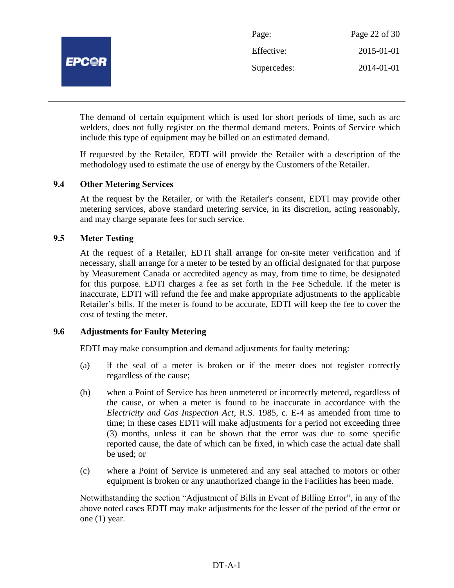

The demand of certain equipment which is used for short periods of time, such as arc welders, does not fully register on the thermal demand meters. Points of Service which include this type of equipment may be billed on an estimated demand.

If requested by the Retailer, EDTI will provide the Retailer with a description of the methodology used to estimate the use of energy by the Customers of the Retailer.

## **9.4 Other Metering Services**

At the request by the Retailer, or with the Retailer's consent, EDTI may provide other metering services, above standard metering service, in its discretion, acting reasonably, and may charge separate fees for such service.

## **9.5 Meter Testing**

At the request of a Retailer, EDTI shall arrange for on-site meter verification and if necessary, shall arrange for a meter to be tested by an official designated for that purpose by Measurement Canada or accredited agency as may, from time to time, be designated for this purpose. EDTI charges a fee as set forth in the Fee Schedule. If the meter is inaccurate, EDTI will refund the fee and make appropriate adjustments to the applicable Retailer's bills. If the meter is found to be accurate, EDTI will keep the fee to cover the cost of testing the meter.

### **9.6 Adjustments for Faulty Metering**

EDTI may make consumption and demand adjustments for faulty metering:

- (a) if the seal of a meter is broken or if the meter does not register correctly regardless of the cause;
- (b) when a Point of Service has been unmetered or incorrectly metered, regardless of the cause, or when a meter is found to be inaccurate in accordance with the *Electricity and Gas Inspection Act*, R.S. 1985, c. E-4 as amended from time to time; in these cases EDTI will make adjustments for a period not exceeding three (3) months, unless it can be shown that the error was due to some specific reported cause, the date of which can be fixed, in which case the actual date shall be used; or
- (c) where a Point of Service is unmetered and any seal attached to motors or other equipment is broken or any unauthorized change in the Facilities has been made.

Notwithstanding the section "Adjustment of Bills in Event of Billing Error", in any of the above noted cases EDTI may make adjustments for the lesser of the period of the error or one (1) year.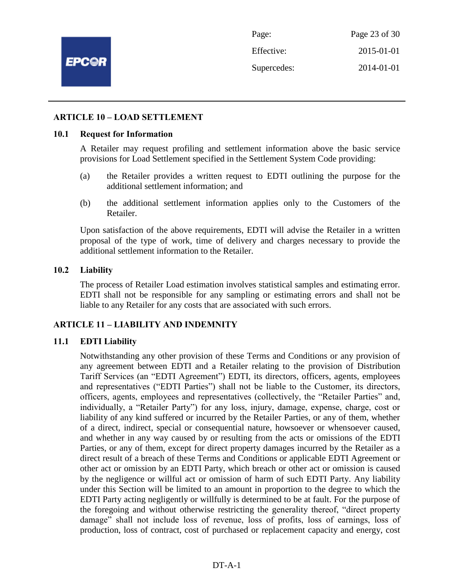

Page: Page 23 of 30 Effective: 2015-01-01 Supercedes: 2014-01-01

#### **ARTICLE 10 – LOAD SETTLEMENT**

#### **10.1 Request for Information**

A Retailer may request profiling and settlement information above the basic service provisions for Load Settlement specified in the Settlement System Code providing:

- (a) the Retailer provides a written request to EDTI outlining the purpose for the additional settlement information; and
- (b) the additional settlement information applies only to the Customers of the Retailer.

Upon satisfaction of the above requirements, EDTI will advise the Retailer in a written proposal of the type of work, time of delivery and charges necessary to provide the additional settlement information to the Retailer.

#### **10.2 Liability**

The process of Retailer Load estimation involves statistical samples and estimating error. EDTI shall not be responsible for any sampling or estimating errors and shall not be liable to any Retailer for any costs that are associated with such errors.

## **ARTICLE 11 – LIABILITY AND INDEMNITY**

#### **11.1 EDTI Liability**

Notwithstanding any other provision of these Terms and Conditions or any provision of any agreement between EDTI and a Retailer relating to the provision of Distribution Tariff Services (an "EDTI Agreement") EDTI, its directors, officers, agents, employees and representatives ("EDTI Parties") shall not be liable to the Customer, its directors, officers, agents, employees and representatives (collectively, the "Retailer Parties" and, individually, a "Retailer Party") for any loss, injury, damage, expense, charge, cost or liability of any kind suffered or incurred by the Retailer Parties, or any of them, whether of a direct, indirect, special or consequential nature, howsoever or whensoever caused, and whether in any way caused by or resulting from the acts or omissions of the EDTI Parties, or any of them, except for direct property damages incurred by the Retailer as a direct result of a breach of these Terms and Conditions or applicable EDTI Agreement or other act or omission by an EDTI Party, which breach or other act or omission is caused by the negligence or willful act or omission of harm of such EDTI Party. Any liability under this Section will be limited to an amount in proportion to the degree to which the EDTI Party acting negligently or willfully is determined to be at fault. For the purpose of the foregoing and without otherwise restricting the generality thereof, "direct property damage" shall not include loss of revenue, loss of profits, loss of earnings, loss of production, loss of contract, cost of purchased or replacement capacity and energy, cost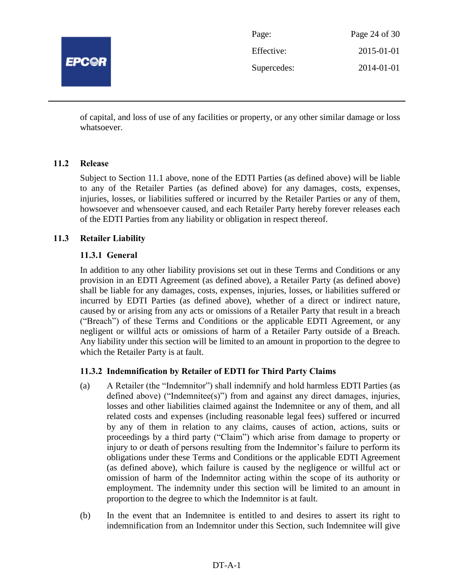

| Page:       | Page 24 of 30 |
|-------------|---------------|
| Effective:  | 2015-01-01    |
| Supercedes: | 2014-01-01    |

of capital, and loss of use of any facilities or property, or any other similar damage or loss whatsoever.

## **11.2 Release**

Subject to Section 11.1 above, none of the EDTI Parties (as defined above) will be liable to any of the Retailer Parties (as defined above) for any damages, costs, expenses, injuries, losses, or liabilities suffered or incurred by the Retailer Parties or any of them, howsoever and whensoever caused, and each Retailer Party hereby forever releases each of the EDTI Parties from any liability or obligation in respect thereof.

## **11.3 Retailer Liability**

## **11.3.1 General**

In addition to any other liability provisions set out in these Terms and Conditions or any provision in an EDTI Agreement (as defined above), a Retailer Party (as defined above) shall be liable for any damages, costs, expenses, injuries, losses, or liabilities suffered or incurred by EDTI Parties (as defined above), whether of a direct or indirect nature, caused by or arising from any acts or omissions of a Retailer Party that result in a breach ("Breach") of these Terms and Conditions or the applicable EDTI Agreement, or any negligent or willful acts or omissions of harm of a Retailer Party outside of a Breach. Any liability under this section will be limited to an amount in proportion to the degree to which the Retailer Party is at fault.

## **11.3.2 Indemnification by Retailer of EDTI for Third Party Claims**

- (a) A Retailer (the "Indemnitor") shall indemnify and hold harmless EDTI Parties (as defined above) ("Indemnitee(s)") from and against any direct damages, injuries, losses and other liabilities claimed against the Indemnitee or any of them, and all related costs and expenses (including reasonable legal fees) suffered or incurred by any of them in relation to any claims, causes of action, actions, suits or proceedings by a third party ("Claim") which arise from damage to property or injury to or death of persons resulting from the Indemnitor's failure to perform its obligations under these Terms and Conditions or the applicable EDTI Agreement (as defined above), which failure is caused by the negligence or willful act or omission of harm of the Indemnitor acting within the scope of its authority or employment. The indemnity under this section will be limited to an amount in proportion to the degree to which the Indemnitor is at fault.
- (b) In the event that an Indemnitee is entitled to and desires to assert its right to indemnification from an Indemnitor under this Section, such Indemnitee will give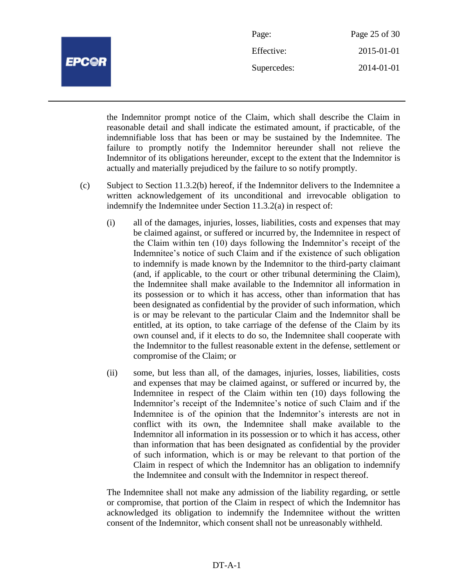

| Page:       | Page 25 of 30 |
|-------------|---------------|
| Effective:  | 2015-01-01    |
| Supercedes: | 2014-01-01    |

the Indemnitor prompt notice of the Claim, which shall describe the Claim in reasonable detail and shall indicate the estimated amount, if practicable, of the indemnifiable loss that has been or may be sustained by the Indemnitee. The failure to promptly notify the Indemnitor hereunder shall not relieve the Indemnitor of its obligations hereunder, except to the extent that the Indemnitor is actually and materially prejudiced by the failure to so notify promptly.

- (c) Subject to Section 11.3.2(b) hereof, if the Indemnitor delivers to the Indemnitee a written acknowledgement of its unconditional and irrevocable obligation to indemnify the Indemnitee under Section 11.3.2(a) in respect of:
	- (i) all of the damages, injuries, losses, liabilities, costs and expenses that may be claimed against, or suffered or incurred by, the Indemnitee in respect of the Claim within ten (10) days following the Indemnitor's receipt of the Indemnitee's notice of such Claim and if the existence of such obligation to indemnify is made known by the Indemnitor to the third-party claimant (and, if applicable, to the court or other tribunal determining the Claim), the Indemnitee shall make available to the Indemnitor all information in its possession or to which it has access, other than information that has been designated as confidential by the provider of such information, which is or may be relevant to the particular Claim and the Indemnitor shall be entitled, at its option, to take carriage of the defense of the Claim by its own counsel and, if it elects to do so, the Indemnitee shall cooperate with the Indemnitor to the fullest reasonable extent in the defense, settlement or compromise of the Claim; or
	- (ii) some, but less than all, of the damages, injuries, losses, liabilities, costs and expenses that may be claimed against, or suffered or incurred by, the Indemnitee in respect of the Claim within ten (10) days following the Indemnitor's receipt of the Indemnitee's notice of such Claim and if the Indemnitee is of the opinion that the Indemnitor's interests are not in conflict with its own, the Indemnitee shall make available to the Indemnitor all information in its possession or to which it has access, other than information that has been designated as confidential by the provider of such information, which is or may be relevant to that portion of the Claim in respect of which the Indemnitor has an obligation to indemnify the Indemnitee and consult with the Indemnitor in respect thereof.

The Indemnitee shall not make any admission of the liability regarding, or settle or compromise, that portion of the Claim in respect of which the Indemnitor has acknowledged its obligation to indemnify the Indemnitee without the written consent of the Indemnitor, which consent shall not be unreasonably withheld.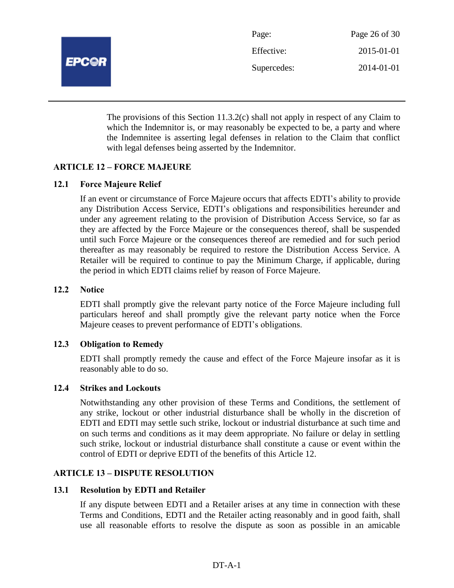

| Page:       | Page 26 of 30 |
|-------------|---------------|
| Effective:  | 2015-01-01    |
| Supercedes: | 2014-01-01    |

The provisions of this Section 11.3.2(c) shall not apply in respect of any Claim to which the Indemnitor is, or may reasonably be expected to be, a party and where the Indemnitee is asserting legal defenses in relation to the Claim that conflict with legal defenses being asserted by the Indemnitor.

## **ARTICLE 12 – FORCE MAJEURE**

#### **12.1 Force Majeure Relief**

If an event or circumstance of Force Majeure occurs that affects EDTI's ability to provide any Distribution Access Service, EDTI's obligations and responsibilities hereunder and under any agreement relating to the provision of Distribution Access Service, so far as they are affected by the Force Majeure or the consequences thereof, shall be suspended until such Force Majeure or the consequences thereof are remedied and for such period thereafter as may reasonably be required to restore the Distribution Access Service. A Retailer will be required to continue to pay the Minimum Charge, if applicable, during the period in which EDTI claims relief by reason of Force Majeure.

### **12.2 Notice**

EDTI shall promptly give the relevant party notice of the Force Majeure including full particulars hereof and shall promptly give the relevant party notice when the Force Majeure ceases to prevent performance of EDTI's obligations.

#### **12.3 Obligation to Remedy**

EDTI shall promptly remedy the cause and effect of the Force Majeure insofar as it is reasonably able to do so.

#### **12.4 Strikes and Lockouts**

Notwithstanding any other provision of these Terms and Conditions, the settlement of any strike, lockout or other industrial disturbance shall be wholly in the discretion of EDTI and EDTI may settle such strike, lockout or industrial disturbance at such time and on such terms and conditions as it may deem appropriate. No failure or delay in settling such strike, lockout or industrial disturbance shall constitute a cause or event within the control of EDTI or deprive EDTI of the benefits of this Article 12.

#### **ARTICLE 13 – DISPUTE RESOLUTION**

#### **13.1 Resolution by EDTI and Retailer**

If any dispute between EDTI and a Retailer arises at any time in connection with these Terms and Conditions, EDTI and the Retailer acting reasonably and in good faith, shall use all reasonable efforts to resolve the dispute as soon as possible in an amicable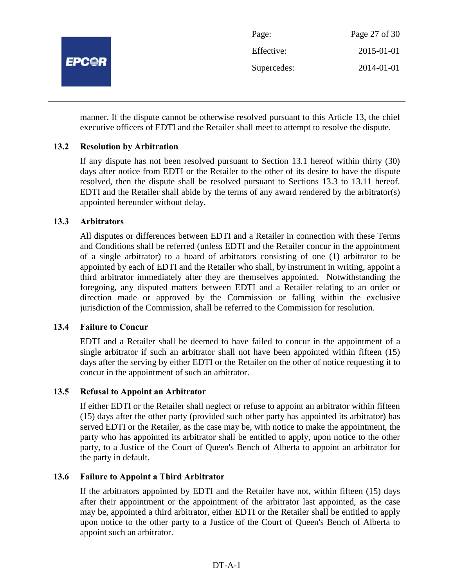

manner. If the dispute cannot be otherwise resolved pursuant to this Article 13, the chief executive officers of EDTI and the Retailer shall meet to attempt to resolve the dispute.

## **13.2 Resolution by Arbitration**

If any dispute has not been resolved pursuant to Section 13.1 hereof within thirty (30) days after notice from EDTI or the Retailer to the other of its desire to have the dispute resolved, then the dispute shall be resolved pursuant to Sections 13.3 to 13.11 hereof. EDTI and the Retailer shall abide by the terms of any award rendered by the arbitrator(s) appointed hereunder without delay.

## **13.3 Arbitrators**

All disputes or differences between EDTI and a Retailer in connection with these Terms and Conditions shall be referred (unless EDTI and the Retailer concur in the appointment of a single arbitrator) to a board of arbitrators consisting of one (1) arbitrator to be appointed by each of EDTI and the Retailer who shall, by instrument in writing, appoint a third arbitrator immediately after they are themselves appointed. Notwithstanding the foregoing, any disputed matters between EDTI and a Retailer relating to an order or direction made or approved by the Commission or falling within the exclusive jurisdiction of the Commission, shall be referred to the Commission for resolution.

## **13.4 Failure to Concur**

EDTI and a Retailer shall be deemed to have failed to concur in the appointment of a single arbitrator if such an arbitrator shall not have been appointed within fifteen (15) days after the serving by either EDTI or the Retailer on the other of notice requesting it to concur in the appointment of such an arbitrator.

## **13.5 Refusal to Appoint an Arbitrator**

If either EDTI or the Retailer shall neglect or refuse to appoint an arbitrator within fifteen (15) days after the other party (provided such other party has appointed its arbitrator) has served EDTI or the Retailer, as the case may be, with notice to make the appointment, the party who has appointed its arbitrator shall be entitled to apply, upon notice to the other party, to a Justice of the Court of Queen's Bench of Alberta to appoint an arbitrator for the party in default.

## **13.6 Failure to Appoint a Third Arbitrator**

If the arbitrators appointed by EDTI and the Retailer have not, within fifteen (15) days after their appointment or the appointment of the arbitrator last appointed, as the case may be, appointed a third arbitrator, either EDTI or the Retailer shall be entitled to apply upon notice to the other party to a Justice of the Court of Queen's Bench of Alberta to appoint such an arbitrator.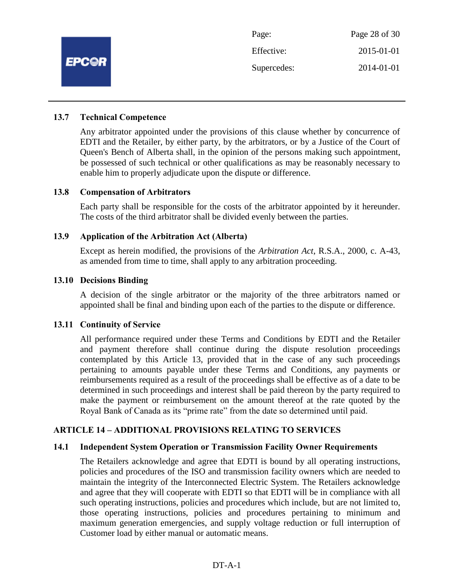

#### **13.7 Technical Competence**

Any arbitrator appointed under the provisions of this clause whether by concurrence of EDTI and the Retailer, by either party, by the arbitrators, or by a Justice of the Court of Queen's Bench of Alberta shall, in the opinion of the persons making such appointment, be possessed of such technical or other qualifications as may be reasonably necessary to enable him to properly adjudicate upon the dispute or difference.

#### **13.8 Compensation of Arbitrators**

Each party shall be responsible for the costs of the arbitrator appointed by it hereunder. The costs of the third arbitrator shall be divided evenly between the parties.

#### **13.9 Application of the Arbitration Act (Alberta)**

Except as herein modified, the provisions of the *Arbitration Act*, R.S.A., 2000, c. A-43, as amended from time to time, shall apply to any arbitration proceeding.

#### **13.10 Decisions Binding**

A decision of the single arbitrator or the majority of the three arbitrators named or appointed shall be final and binding upon each of the parties to the dispute or difference.

#### **13.11 Continuity of Service**

All performance required under these Terms and Conditions by EDTI and the Retailer and payment therefore shall continue during the dispute resolution proceedings contemplated by this Article 13, provided that in the case of any such proceedings pertaining to amounts payable under these Terms and Conditions, any payments or reimbursements required as a result of the proceedings shall be effective as of a date to be determined in such proceedings and interest shall be paid thereon by the party required to make the payment or reimbursement on the amount thereof at the rate quoted by the Royal Bank of Canada as its "prime rate" from the date so determined until paid.

#### **ARTICLE 14 – ADDITIONAL PROVISIONS RELATING TO SERVICES**

#### **14.1 Independent System Operation or Transmission Facility Owner Requirements**

The Retailers acknowledge and agree that EDTI is bound by all operating instructions, policies and procedures of the ISO and transmission facility owners which are needed to maintain the integrity of the Interconnected Electric System. The Retailers acknowledge and agree that they will cooperate with EDTI so that EDTI will be in compliance with all such operating instructions, policies and procedures which include, but are not limited to, those operating instructions, policies and procedures pertaining to minimum and maximum generation emergencies, and supply voltage reduction or full interruption of Customer load by either manual or automatic means.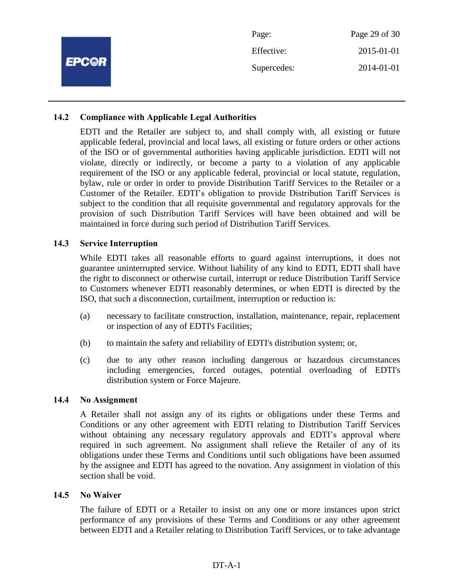|              | Page:       | Page 29 of 30 |
|--------------|-------------|---------------|
| <b>EPC@R</b> | Effective:  | 2015-01-01    |
|              | Supercedes: | 2014-01-01    |
|              |             |               |

## **14.2 Compliance with Applicable Legal Authorities**

EDTI and the Retailer are subject to, and shall comply with, all existing or future applicable federal, provincial and local laws, all existing or future orders or other actions of the ISO or of governmental authorities having applicable jurisdiction. EDTI will not violate, directly or indirectly, or become a party to a violation of any applicable requirement of the ISO or any applicable federal, provincial or local statute, regulation, bylaw, rule or order in order to provide Distribution Tariff Services to the Retailer or a Customer of the Retailer. EDTI's obligation to provide Distribution Tariff Services is subject to the condition that all requisite governmental and regulatory approvals for the provision of such Distribution Tariff Services will have been obtained and will be maintained in force during such period of Distribution Tariff Services.

#### **14.3 Service Interruption**

While EDTI takes all reasonable efforts to guard against interruptions, it does not guarantee uninterrupted service. Without liability of any kind to EDTI, EDTI shall have the right to disconnect or otherwise curtail, interrupt or reduce Distribution Tariff Service to Customers whenever EDTI reasonably determines, or when EDTI is directed by the ISO, that such a disconnection, curtailment, interruption or reduction is:

- (a) necessary to facilitate construction, installation, maintenance, repair, replacement or inspection of any of EDTI's Facilities;
- (b) to maintain the safety and reliability of EDTI's distribution system; or,
- (c) due to any other reason including dangerous or hazardous circumstances including emergencies, forced outages, potential overloading of EDTI's distribution system or Force Majeure.

#### **14.4 No Assignment**

A Retailer shall not assign any of its rights or obligations under these Terms and Conditions or any other agreement with EDTI relating to Distribution Tariff Services without obtaining any necessary regulatory approvals and EDTI's approval where required in such agreement. No assignment shall relieve the Retailer of any of its obligations under these Terms and Conditions until such obligations have been assumed by the assignee and EDTI has agreed to the novation. Any assignment in violation of this section shall be void.

#### **14.5 No Waiver**

The failure of EDTI or a Retailer to insist on any one or more instances upon strict performance of any provisions of these Terms and Conditions or any other agreement between EDTI and a Retailer relating to Distribution Tariff Services, or to take advantage